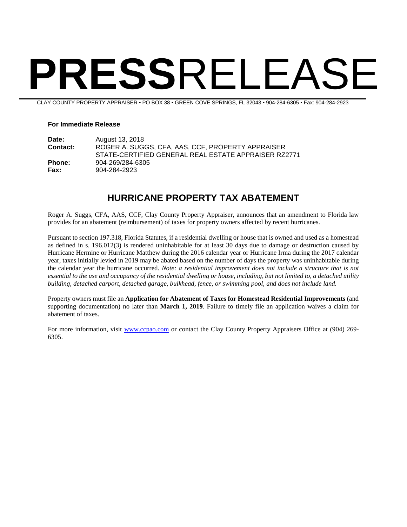# **PRESS**RELEASE

CLAY COUNTY PROPERTY APPRAISER • PO BOX 38 • GREEN COVE SPRINGS, FL 32043 • 904-284-6305 • Fax: 904-284-2923

#### **For Immediate Release**

| Date:         | August 13, 2018                                      |
|---------------|------------------------------------------------------|
| Contact:      | ROGER A. SUGGS, CFA, AAS, CCF, PROPERTY APPRAISER    |
|               | STATE-CERTIFIED GENERAL REAL ESTATE APPRAISER RZ2771 |
| <b>Phone:</b> | 904-269/284-6305                                     |
| Fax:          | 904-284-2923                                         |

#### **HURRICANE PROPERTY TAX ABATEMENT**

Roger A. Suggs, CFA, AAS, CCF, Clay County Property Appraiser, announces that an amendment to Florida law provides for an abatement (reimbursement) of taxes for property owners affected by recent hurricanes.

Pursuant to section 197.318, Florida Statutes, if a residential dwelling or house that is owned and used as a homestead as defined in s. 196.012(3) is rendered uninhabitable for at least 30 days due to damage or destruction caused by Hurricane Hermine or Hurricane Matthew during the 2016 calendar year or Hurricane Irma during the 2017 calendar year, taxes initially levied in 2019 may be abated based on the number of days the property was uninhabitable during the calendar year the hurricane occurred. *Note: a residential improvement does not include a structure that is not essential to the use and occupancy of the residential dwelling or house, including, but not limited to, a detached utility building, detached carport, detached garage, bulkhead, fence, or swimming pool, and does not include land.* 

Property owners must file an **Application for Abatement of Taxes for Homestead Residential Improvements** (and supporting documentation) no later than **March 1, 2019**. Failure to timely file an application waives a claim for abatement of taxes.

For more information, visit [www.ccpao.com](http://www.ccpao.com/) or contact the Clay County Property Appraisers Office at (904) 269-6305.